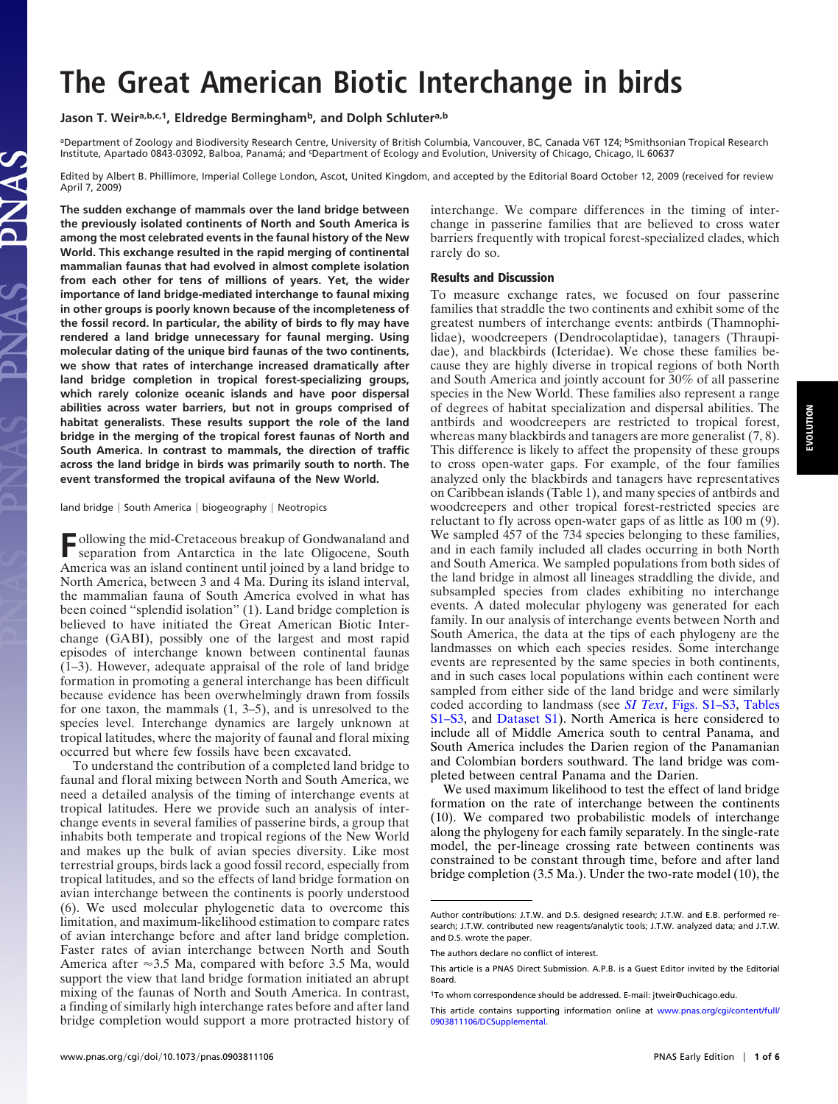# **The Great American Biotic Interchange in birds**

## Jason T. Weir<sup>a,b,c,1</sup>, Eldredge Bermingham<sup>b</sup>, and Dolph Schluter<sup>a,b</sup>

aDepartment of Zoology and Biodiversity Research Centre, University of British Columbia, Vancouver, BC, Canada V6T 1Z4; <sup>b</sup>Smithsonian Tropical Research Institute, Apartado 0843-03092, Balboa, Panamá; and <sup>c</sup>Department of Ecology and Evolution, University of Chicago, Chicago, IL 60637

Edited by Albert B. Phillimore, Imperial College London, Ascot, United Kingdom, and accepted by the Editorial Board October 12, 2009 (received for review April 7, 2009)

**The sudden exchange of mammals over the land bridge between the previously isolated continents of North and South America is among the most celebrated events in the faunal history of the New World. This exchange resulted in the rapid merging of continental mammalian faunas that had evolved in almost complete isolation from each other for tens of millions of years. Yet, the wider importance of land bridge-mediated interchange to faunal mixing in other groups is poorly known because of the incompleteness of the fossil record. In particular, the ability of birds to fly may have rendered a land bridge unnecessary for faunal merging. Using molecular dating of the unique bird faunas of the two continents, we show that rates of interchange increased dramatically after land bridge completion in tropical forest-specializing groups, which rarely colonize oceanic islands and have poor dispersal abilities across water barriers, but not in groups comprised of habitat generalists. These results support the role of the land bridge in the merging of the tropical forest faunas of North and South America. In contrast to mammals, the direction of traffic across the land bridge in birds was primarily south to north. The event transformed the tropical avifauna of the New World.**

#### land bridge | South America | biogeography | Neotropics

**F**ollowing the mid-Cretaceous breakup of Gondwanaland and senaration from Artestic separation from Antarctica in the late Oligocene, South America was an island continent until joined by a land bridge to North America, between 3 and 4 Ma. During its island interval, the mammalian fauna of South America evolved in what has been coined ''splendid isolation'' (1). Land bridge completion is believed to have initiated the Great American Biotic Interchange (GABI), possibly one of the largest and most rapid episodes of interchange known between continental faunas (1–3). However, adequate appraisal of the role of land bridge formation in promoting a general interchange has been difficult because evidence has been overwhelmingly drawn from fossils for one taxon, the mammals (1, 3–5), and is unresolved to the species level. Interchange dynamics are largely unknown at tropical latitudes, where the majority of faunal and floral mixing occurred but where few fossils have been excavated.

To understand the contribution of a completed land bridge to faunal and floral mixing between North and South America, we need a detailed analysis of the timing of interchange events at tropical latitudes. Here we provide such an analysis of interchange events in several families of passerine birds, a group that inhabits both temperate and tropical regions of the New World and makes up the bulk of avian species diversity. Like most terrestrial groups, birds lack a good fossil record, especially from tropical latitudes, and so the effects of land bridge formation on avian interchange between the continents is poorly understood (6). We used molecular phylogenetic data to overcome this limitation, and maximum-likelihood estimation to compare rates of avian interchange before and after land bridge completion. Faster rates of avian interchange between North and South America after  $\approx$ 3.5 Ma, compared with before 3.5 Ma, would support the view that land bridge formation initiated an abrupt mixing of the faunas of North and South America. In contrast, a finding of similarly high interchange rates before and after land bridge completion would support a more protracted history of

interchange. We compare differences in the timing of interchange in passerine families that are believed to cross water barriers frequently with tropical forest-specialized clades, which rarely do so.

## **Results and Discussion**

To measure exchange rates, we focused on four passerine families that straddle the two continents and exhibit some of the greatest numbers of interchange events: antbirds (Thamnophilidae), woodcreepers (Dendrocolaptidae), tanagers (Thraupidae), and blackbirds (Icteridae). We chose these families because they are highly diverse in tropical regions of both North and South America and jointly account for 30% of all passerine species in the New World. These families also represent a range of degrees of habitat specialization and dispersal abilities. The antbirds and woodcreepers are restricted to tropical forest, whereas many blackbirds and tanagers are more generalist (7, 8). This difference is likely to affect the propensity of these groups to cross open-water gaps. For example, of the four families analyzed only the blackbirds and tanagers have representatives on Caribbean islands (Table 1), and many species of antbirds and woodcreepers and other tropical forest-restricted species are reluctant to fly across open-water gaps of as little as 100 m (9). We sampled 457 of the 734 species belonging to these families, and in each family included all clades occurring in both North and South America. We sampled populations from both sides of the land bridge in almost all lineages straddling the divide, and subsampled species from clades exhibiting no interchange events. A dated molecular phylogeny was generated for each family. In our analysis of interchange events between North and South America, the data at the tips of each phylogeny are the landmasses on which each species resides. Some interchange events are represented by the same species in both continents, and in such cases local populations within each continent were sampled from either side of the land bridge and were similarly coded according to landmass (see *[SI Text](http://www.pnas.org/cgi/data/0903811106/DCSupplemental/Supplemental_PDF#nameddest=STXT)*, [Figs. S1–S3,](http://www.pnas.org/cgi/data/0903811106/DCSupplemental/Supplemental_PDF#nameddest=SF1) [Tables](http://www.pnas.org/cgi/data/0903811106/DCSupplemental/Supplemental_PDF#nameddest=ST1) [S1–S3,](http://www.pnas.org/cgi/data/0903811106/DCSupplemental/Supplemental_PDF#nameddest=ST1) and [Dataset S1\)](http://www.pnas.org/content/vol0/issue2009/images/data/0903811106/DCSupplemental/SD1.xlsx). North America is here considered to include all of Middle America south to central Panama, and South America includes the Darien region of the Panamanian and Colombian borders southward. The land bridge was completed between central Panama and the Darien.

We used maximum likelihood to test the effect of land bridge formation on the rate of interchange between the continents (10). We compared two probabilistic models of interchange along the phylogeny for each family separately. In the single-rate model, the per-lineage crossing rate between continents was constrained to be constant through time, before and after land bridge completion (3.5 Ma.). Under the two-rate model (10), the

Author contributions: J.T.W. and D.S. designed research; J.T.W. and E.B. performed research; J.T.W. contributed new reagents/analytic tools; J.T.W. analyzed data; and J.T.W. and D.S. wrote the paper.

The authors declare no conflict of interest.

This article is a PNAS Direct Submission. A.P.B. is a Guest Editor invited by the Editorial Board.

<sup>1</sup>To whom correspondence should be addressed. E-mail: jtweir@uchicago.edu.

This article contains supporting information online at [www.pnas.org/cgi/content/full/](http://www.pnas.org/cgi/content/full/0903811106/DCSupplemental) [0903811106/DCSupplemental.](http://www.pnas.org/cgi/content/full/0903811106/DCSupplemental)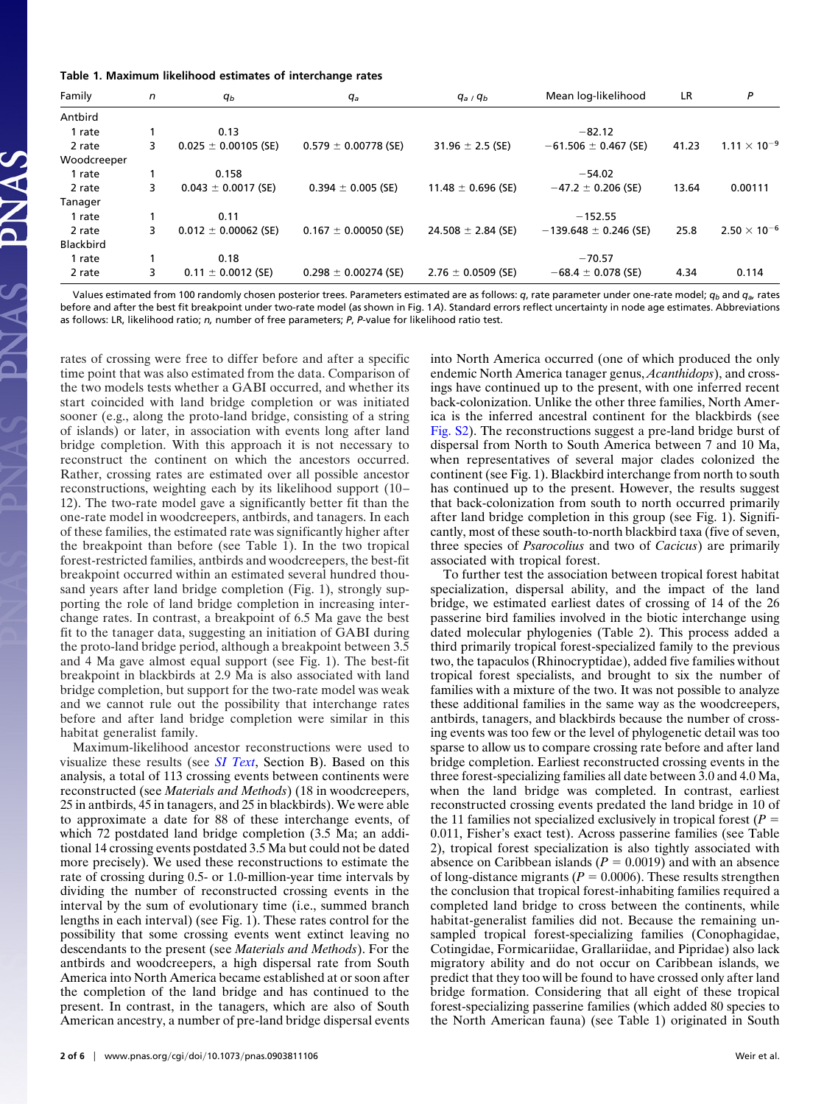#### **Table 1. Maximum likelihood estimates of interchange rates**

| Family      | n<br>$q_b$ |                          | $q_a$                    | $q_a$ , $q_b$          | Mean log-likelihood       | LR    | P                     |
|-------------|------------|--------------------------|--------------------------|------------------------|---------------------------|-------|-----------------------|
| Antbird     |            |                          |                          |                        |                           |       |                       |
| 1 rate      |            | 0.13                     |                          |                        | $-82.12$                  |       |                       |
| 2 rate      | 3          | $0.025 \pm 0.00105$ (SE) | $0.579 \pm 0.00778$ (SE) | $31.96 \pm 2.5$ (SE)   | $-61.506 \pm 0.467$ (SE)  | 41.23 | $1.11 \times 10^{-9}$ |
| Woodcreeper |            |                          |                          |                        |                           |       |                       |
| 1 rate      |            | 0.158                    |                          |                        | $-54.02$                  |       |                       |
| 2 rate      | 3          | $0.043 \pm 0.0017$ (SE)  | $0.394 \pm 0.005$ (SE)   | $11.48 \pm 0.696$ (SE) | $-47.2 \pm 0.206$ (SE)    | 13.64 | 0.00111               |
| Tanager     |            |                          |                          |                        |                           |       |                       |
| 1 rate      |            | 0.11                     |                          |                        | $-152.55$                 |       |                       |
| 2 rate      | 3          | $0.012 \pm 0.00062$ (SE) | $0.167 \pm 0.00050$ (SE) | $24.508 \pm 2.84$ (SE) | $-139.648 \pm 0.246$ (SE) | 25.8  | $2.50 \times 10^{-6}$ |
| Blackbird   |            |                          |                          |                        |                           |       |                       |
| 1 rate      |            | 0.18                     |                          |                        | $-70.57$                  |       |                       |
| 2 rate      | 3          | $0.11 \pm 0.0012$ (SE)   | $0.298 \pm 0.00274$ (SE) | $2.76 \pm 0.0509$ (SE) | $-68.4 \pm 0.078$ (SE)    | 4.34  | 0.114                 |

Values estimated from 100 randomly chosen posterior trees. Parameters estimated are as follows: *q*, rate parameter under one-rate model; *qb* and *qa,* rates before and after the best fit breakpoint under two-rate model (as shown in Fig. 1*A*). Standard errors reflect uncertainty in node age estimates. Abbreviations as follows: LR, likelihood ratio; *n,* number of free parameters; *P*, *P*-value for likelihood ratio test.

rates of crossing were free to differ before and after a specific time point that was also estimated from the data. Comparison of the two models tests whether a GABI occurred, and whether its start coincided with land bridge completion or was initiated sooner (e.g., along the proto-land bridge, consisting of a string of islands) or later, in association with events long after land bridge completion. With this approach it is not necessary to reconstruct the continent on which the ancestors occurred. Rather, crossing rates are estimated over all possible ancestor reconstructions, weighting each by its likelihood support (10– 12). The two-rate model gave a significantly better fit than the one-rate model in woodcreepers, antbirds, and tanagers. In each of these families, the estimated rate was significantly higher after the breakpoint than before (see Table 1). In the two tropical forest-restricted families, antbirds and woodcreepers, the best-fit breakpoint occurred within an estimated several hundred thousand years after land bridge completion (Fig. 1), strongly supporting the role of land bridge completion in increasing interchange rates. In contrast, a breakpoint of 6.5 Ma gave the best fit to the tanager data, suggesting an initiation of GABI during the proto-land bridge period, although a breakpoint between 3.5 and 4 Ma gave almost equal support (see Fig. 1). The best-fit breakpoint in blackbirds at 2.9 Ma is also associated with land bridge completion, but support for the two-rate model was weak and we cannot rule out the possibility that interchange rates before and after land bridge completion were similar in this habitat generalist family.

Maximum-likelihood ancestor reconstructions were used to visualize these results (see *[SI Text](http://www.pnas.org/cgi/data/0903811106/DCSupplemental/Supplemental_PDF#nameddest=STXT)*, Section B). Based on this analysis, a total of 113 crossing events between continents were reconstructed (see *Materials and Methods*) (18 in woodcreepers, 25 in antbirds, 45 in tanagers, and 25 in blackbirds). We were able to approximate a date for 88 of these interchange events, of which 72 postdated land bridge completion (3.5 Ma; an additional 14 crossing events postdated 3.5 Ma but could not be dated more precisely). We used these reconstructions to estimate the rate of crossing during 0.5- or 1.0-million-year time intervals by dividing the number of reconstructed crossing events in the interval by the sum of evolutionary time (i.e., summed branch lengths in each interval) (see Fig. 1). These rates control for the possibility that some crossing events went extinct leaving no descendants to the present (see *Materials and Methods*). For the antbirds and woodcreepers, a high dispersal rate from South America into North America became established at or soon after the completion of the land bridge and has continued to the present. In contrast, in the tanagers, which are also of South American ancestry, a number of pre-land bridge dispersal events

**2 of 6**  $\parallel$  www.pnas.org/cgi/doi/10.1073/pnas.0903811106 Weir et al.

into North America occurred (one of which produced the only endemic North America tanager genus, *Acanthidops*), and crossings have continued up to the present, with one inferred recent back-colonization. Unlike the other three families, North America is the inferred ancestral continent for the blackbirds (see [Fig. S2\)](http://www.pnas.org/cgi/data/0903811106/DCSupplemental/Supplemental_PDF#nameddest=SF2). The reconstructions suggest a pre-land bridge burst of dispersal from North to South America between 7 and 10 Ma, when representatives of several major clades colonized the continent (see Fig. 1). Blackbird interchange from north to south has continued up to the present. However, the results suggest that back-colonization from south to north occurred primarily after land bridge completion in this group (see Fig. 1). Significantly, most of these south-to-north blackbird taxa (five of seven, three species of *Psarocolius* and two of *Cacicus*) are primarily associated with tropical forest.

To further test the association between tropical forest habitat specialization, dispersal ability, and the impact of the land bridge, we estimated earliest dates of crossing of 14 of the 26 passerine bird families involved in the biotic interchange using dated molecular phylogenies (Table 2). This process added a third primarily tropical forest-specialized family to the previous two, the tapaculos (Rhinocryptidae), added five families without tropical forest specialists, and brought to six the number of families with a mixture of the two. It was not possible to analyze these additional families in the same way as the woodcreepers, antbirds, tanagers, and blackbirds because the number of crossing events was too few or the level of phylogenetic detail was too sparse to allow us to compare crossing rate before and after land bridge completion. Earliest reconstructed crossing events in the three forest-specializing families all date between 3.0 and 4.0 Ma, when the land bridge was completed. In contrast, earliest reconstructed crossing events predated the land bridge in 10 of the 11 families not specialized exclusively in tropical forest  $(P =$ 0.011, Fisher's exact test). Across passerine families (see Table 2), tropical forest specialization is also tightly associated with absence on Caribbean islands  $(P = 0.0019)$  and with an absence of long-distance migrants ( $P = 0.0006$ ). These results strengthen the conclusion that tropical forest-inhabiting families required a completed land bridge to cross between the continents, while habitat-generalist families did not. Because the remaining unsampled tropical forest-specializing families (Conophagidae, Cotingidae, Formicariidae, Grallariidae, and Pipridae) also lack migratory ability and do not occur on Caribbean islands, we predict that they too will be found to have crossed only after land bridge formation. Considering that all eight of these tropical forest-specializing passerine families (which added 80 species to the North American fauna) (see Table 1) originated in South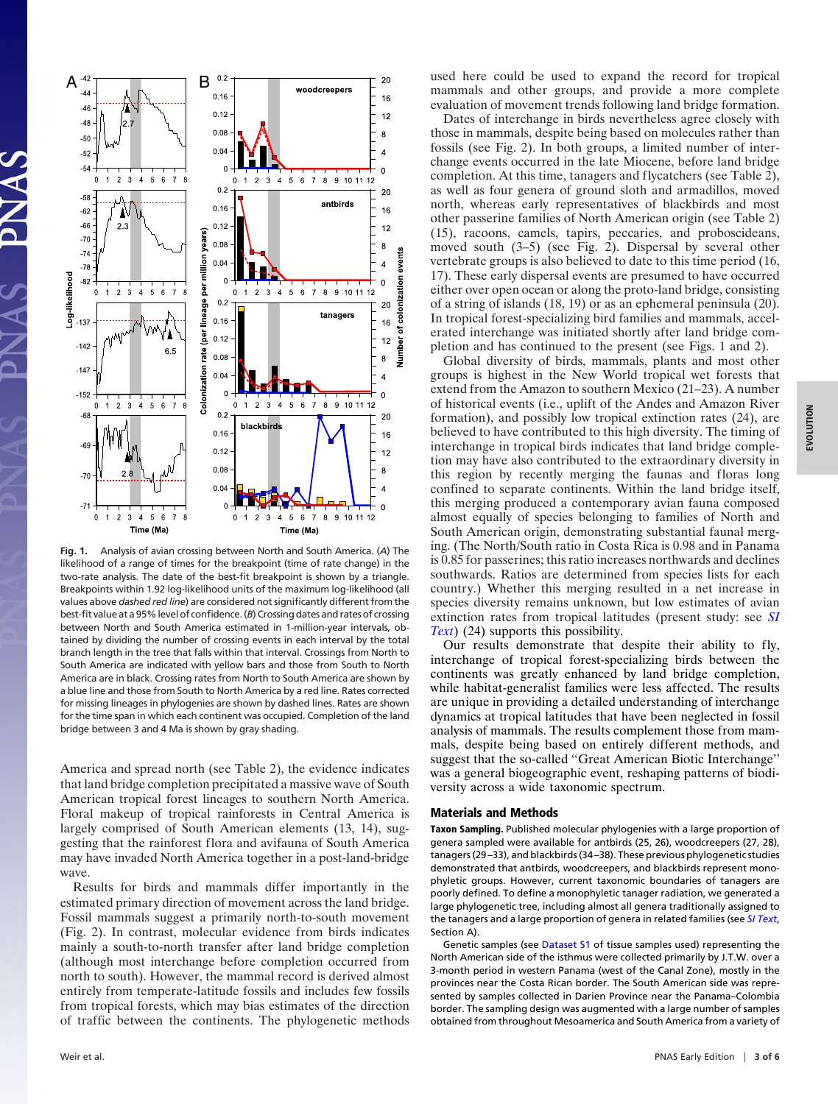

**Fig. 1.** Analysis of avian crossing between North and South America. (*A*) The likelihood of a range of times for the breakpoint (time of rate change) in the two-rate analysis. The date of the best-fit breakpoint is shown by a triangle. Breakpoints within 1.92 log-likelihood units of the maximum log-likelihood (all values above *dashed red line*) are considered not significantly different from the best-fit value at a 95% level of confidence. (*B*) Crossing dates and rates of crossing between North and South America estimated in 1-million-year intervals, obtained by dividing the number of crossing events in each interval by the total branch length in the tree that falls within that interval. Crossings from North to South America are indicated with yellow bars and those from South to North America are in black. Crossing rates from North to South America are shown by a blue line and those from South to North America by a red line. Rates corrected for missing lineages in phylogenies are shown by dashed lines. Rates are shown for the time span in which each continent was occupied. Completion of the land bridge between 3 and 4 Ma is shown by gray shading.

America and spread north (see Table 2), the evidence indicates that land bridge completion precipitated a massive wave of South American tropical forest lineages to southern North America. Floral makeup of tropical rainforests in Central America is largely comprised of South American elements (13, 14), suggesting that the rainforest flora and avifauna of South America may have invaded North America together in a post-land-bridge wave.

Results for birds and mammals differ importantly in the estimated primary direction of movement across the land bridge. Fossil mammals suggest a primarily north-to-south movement (Fig. 2). In contrast, molecular evidence from birds indicates mainly a south-to-north transfer after land bridge completion (although most interchange before completion occurred from north to south). However, the mammal record is derived almost entirely from temperate-latitude fossils and includes few fossils from tropical forests, which may bias estimates of the direction of traffic between the continents. The phylogenetic methods used here could be used to expand the record for tropical mammals and other groups, and provide a more complete evaluation of movement trends following land bridge formation.

Dates of interchange in birds nevertheless agree closely with those in mammals, despite being based on molecules rather than fossils (see Fig. 2). In both groups, a limited number of interchange events occurred in the late Miocene, before land bridge completion. At this time, tanagers and flycatchers (see Table 2), as well as four genera of ground sloth and armadillos, moved north, whereas early representatives of blackbirds and most other passerine families of North American origin (see Table 2) (15), racoons, camels, tapirs, peccaries, and proboscideans, moved south (3–5) (see Fig. 2). Dispersal by several other vertebrate groups is also believed to date to this time period (16, 17). These early dispersal events are presumed to have occurred either over open ocean or along the proto-land bridge, consisting of a string of islands (18, 19) or as an ephemeral peninsula (20). In tropical forest-specializing bird families and mammals, accelerated interchange was initiated shortly after land bridge completion and has continued to the present (see Figs. 1 and 2).

Global diversity of birds, mammals, plants and most other groups is highest in the New World tropical wet forests that extend from the Amazon to southern Mexico (21–23). A number of historical events (i.e., uplift of the Andes and Amazon River formation), and possibly low tropical extinction rates (24), are believed to have contributed to this high diversity. The timing of interchange in tropical birds indicates that land bridge completion may have also contributed to the extraordinary diversity in this region by recently merging the faunas and floras long confined to separate continents. Within the land bridge itself, this merging produced a contemporary avian fauna composed almost equally of species belonging to families of North and South American origin, demonstrating substantial faunal merging. (The North/South ratio in Costa Rica is 0.98 and in Panama is 0.85 for passerines; this ratio increases northwards and declines southwards. Ratios are determined from species lists for each country.) Whether this merging resulted in a net increase in species diversity remains unknown, but low estimates of avian extinction rates from tropical latitudes (present study: see *[SI](http://www.pnas.org/cgi/data/0903811106/DCSupplemental/Supplemental_PDF#nameddest=STXT) [Text](http://www.pnas.org/cgi/data/0903811106/DCSupplemental/Supplemental_PDF#nameddest=STXT)*) (24) supports this possibility.

Our results demonstrate that despite their ability to fly, interchange of tropical forest-specializing birds between the continents was greatly enhanced by land bridge completion, while habitat-generalist families were less affected. The results are unique in providing a detailed understanding of interchange dynamics at tropical latitudes that have been neglected in fossil analysis of mammals. The results complement those from mammals, despite being based on entirely different methods, and suggest that the so-called ''Great American Biotic Interchange'' was a general biogeographic event, reshaping patterns of biodiversity across a wide taxonomic spectrum.

#### **Materials and Methods**

**Taxon Sampling.** Published molecular phylogenies with a large proportion of genera sampled were available for antbirds (25, 26), woodcreepers (27, 28), tanagers (29–33), and blackbirds (34–38). These previous phylogenetic studies demonstrated that antbirds, woodcreepers, and blackbirds represent monophyletic groups. However, current taxonomic boundaries of tanagers are poorly defined. To define a monophyletic tanager radiation, we generated a large phylogenetic tree, including almost all genera traditionally assigned to the tanagers and a large proportion of genera in related families (see *[SI Text](http://www.pnas.org/cgi/data/0903811106/DCSupplemental/Supplemental_PDF#nameddest=STXT)*, Section A).

Genetic samples (see [Dataset S1](http://www.pnas.org/content/vol0/issue2009/images/data/0903811106/DCSupplemental/SD1.xlsx) of tissue samples used) representing the North American side of the isthmus were collected primarily by J.T.W. over a 3-month period in western Panama (west of the Canal Zone), mostly in the provinces near the Costa Rican border. The South American side was represented by samples collected in Darien Province near the Panama–Colombia border. The sampling design was augmented with a large number of samples obtained from throughout Mesoamerica and South America from a variety of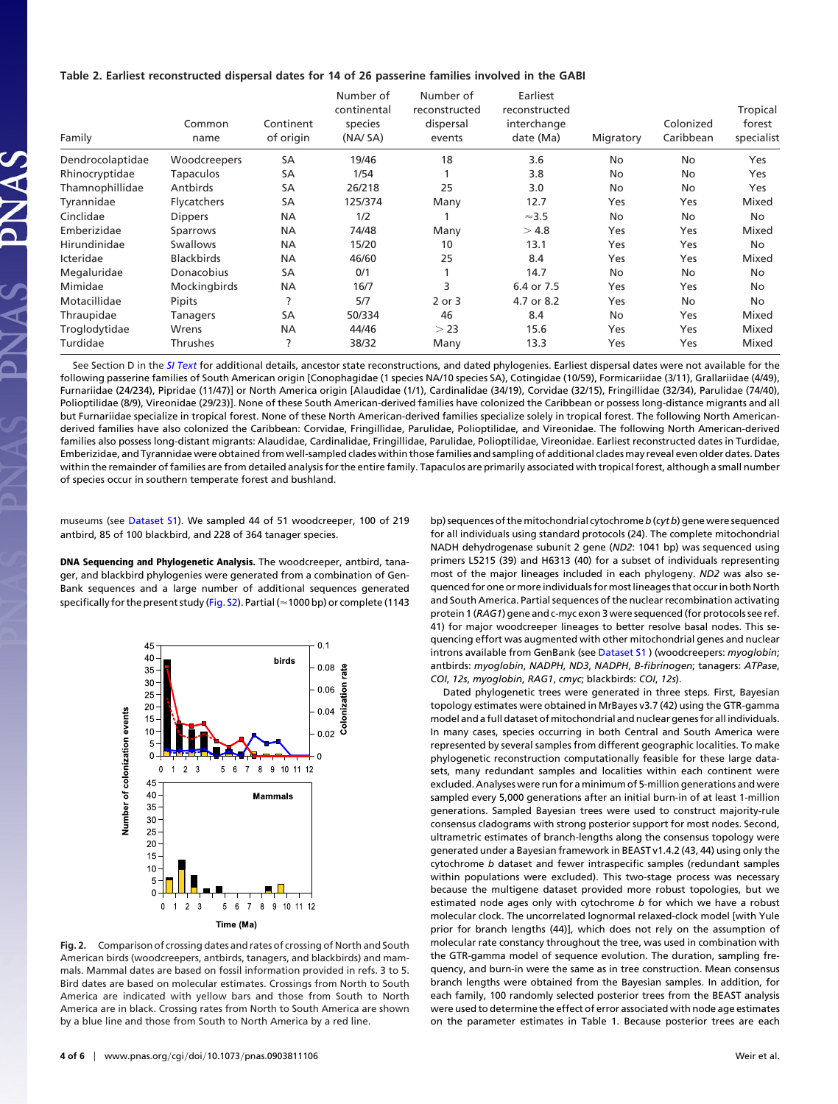## **Table 2. Earliest reconstructed dispersal dates for 14 of 26 passerine families involved in the GABI**

| Family           | Common<br>name     | Continent<br>of origin | Number of<br>continental<br>species<br>(NA/SA) | Number of<br>reconstructed<br>dispersal<br>events | Earliest<br>reconstructed<br>interchange<br>date (Ma) | Migratory | Colonized<br>Caribbean | Tropical<br>forest<br>specialist |
|------------------|--------------------|------------------------|------------------------------------------------|---------------------------------------------------|-------------------------------------------------------|-----------|------------------------|----------------------------------|
| Dendrocolaptidae | Woodcreepers       | SA                     | 19/46                                          | 18                                                | 3.6                                                   | No        | No                     | Yes                              |
| Rhinocryptidae   | <b>Tapaculos</b>   | <b>SA</b>              | 1/54                                           |                                                   | 3.8                                                   | No        | No.                    | Yes                              |
| Thamnophillidae  | Antbirds           | SA                     | 26/218                                         | 25                                                | 3.0                                                   | No        | No                     | Yes                              |
| Tyrannidae       | <b>Flycatchers</b> | <b>SA</b>              | 125/374                                        | Many                                              | 12.7                                                  | Yes       | Yes                    | Mixed                            |
| Cinclidae        | <b>Dippers</b>     | <b>NA</b>              | 1/2                                            |                                                   | $\approx$ 3.5                                         | No        | No                     | No                               |
| Emberizidae      | Sparrows           | <b>NA</b>              | 74/48                                          | Many                                              | > 4.8                                                 | Yes       | Yes                    | Mixed                            |
| Hirundinidae     | <b>Swallows</b>    | <b>NA</b>              | 15/20                                          | 10                                                | 13.1                                                  | Yes       | Yes                    | No                               |
| Icteridae        | <b>Blackbirds</b>  | <b>NA</b>              | 46/60                                          | 25                                                | 8.4                                                   | Yes       | Yes                    | Mixed                            |
| Megaluridae      | Donacobius         | <b>SA</b>              | 0/1                                            |                                                   | 14.7                                                  | No        | No                     | No                               |
| Mimidae          | Mockingbirds       | <b>NA</b>              | 16/7                                           | 3                                                 | 6.4 or 7.5                                            | Yes       | Yes                    | No                               |
| Motacillidae     | Pipits             | ?                      | 5/7                                            | 2 or 3                                            | 4.7 or 8.2                                            | Yes       | No.                    | No                               |
| Thraupidae       | Tanagers           | SA                     | 50/334                                         | 46                                                | 8.4                                                   | No        | Yes                    | Mixed                            |
| Troglodytidae    | Wrens              | <b>NA</b>              | 44/46                                          | > 23                                              | 15.6                                                  | Yes       | Yes                    | Mixed                            |
| Turdidae         | <b>Thrushes</b>    | 7                      | 38/32                                          | Many                                              | 13.3                                                  | Yes       | Yes                    | Mixed                            |

See Section D in the *[SI Text](http://www.pnas.org/cgi/data//DCSupplemental/Supplemental_PDF#nameddest=STXT)* for additional details, ancestor state reconstructions, and dated phylogenies. Earliest dispersal dates were not available for the following passerine families of South American origin [Conophagidae (1 species NA/10 species SA), Cotingidae (10/59), Formicariidae (3/11), Grallariidae (4/49), Furnariidae (24/234), Pipridae (11/47)] or North America origin [Alaudidae (1/1), Cardinalidae (34/19), Corvidae (32/15), Fringillidae (32/34), Parulidae (74/40), Polioptilidae (8/9), Vireonidae (29/23)]. None of these South American-derived families have colonized the Caribbean or possess long-distance migrants and all but Furnariidae specialize in tropical forest. None of these North American-derived families specialize solely in tropical forest. The following North Americanderived families have also colonized the Caribbean: Corvidae, Fringillidae, Parulidae, Polioptilidae, and Vireonidae. The following North American-derived families also possess long-distant migrants: Alaudidae, Cardinalidae, Fringillidae, Parulidae, Polioptilidae, Vireonidae. Earliest reconstructed dates in Turdidae, Emberizidae, and Tyrannidae were obtained from well-sampled clades within those families and sampling of additional clades may reveal even older dates. Dates within the remainder of families are from detailed analysis for the entire family. Tapaculos are primarily associated with tropical forest, although a small number of species occur in southern temperate forest and bushland.

museums (see [Dataset S1\)](http://www.pnas.org/content/vol0/issue2009/images/data/0903811106/DCSupplemental/SD1.xlsx). We sampled 44 of 51 woodcreeper, 100 of 219 antbird, 85 of 100 blackbird, and 228 of 364 tanager species.

**DNA Sequencing and Phylogenetic Analysis.** The woodcreeper, antbird, tanager, and blackbird phylogenies were generated from a combination of Gen-Bank sequences and a large number of additional sequences generated specifically for the present study [\(Fig. S2\)](http://www.pnas.org/cgi/data/0903811106/DCSupplemental/Supplemental_PDF#nameddest=SF2). Partial ( $\approx$  1000 bp) or complete (1143



**Fig. 2.** Comparison of crossing dates and rates of crossing of North and South American birds (woodcreepers, antbirds, tanagers, and blackbirds) and mammals. Mammal dates are based on fossil information provided in refs. 3 to 5. Bird dates are based on molecular estimates. Crossings from North to South America are indicated with yellow bars and those from South to North America are in black. Crossing rates from North to South America are shown by a blue line and those from South to North America by a red line.

**4 of 6**  $\parallel$  www.pnas.org/cgi/doi/10.1073/pnas.0903811106 Weir et al.

bp) sequences of the mitochondrial cytochrome *b* (*cyt b*) gene were sequenced for all individuals using standard protocols (24). The complete mitochondrial NADH dehydrogenase subunit 2 gene (*ND2*: 1041 bp) was sequenced using primers L5215 (39) and H6313 (40) for a subset of individuals representing most of the major lineages included in each phylogeny. *ND2* was also sequenced for one or more individuals for most lineages that occur in both North and South America. Partial sequences of the nuclear recombination activating protein 1 (*RAG1*) gene and c-myc exon 3 were sequenced (for protocols see ref. 41) for major woodcreeper lineages to better resolve basal nodes. This sequencing effort was augmented with other mitochondrial genes and nuclear introns available from GenBank (see [Dataset S1](http://www.pnas.org/content/vol0/issue2009/images/data/0903811106/DCSupplemental/SD1.xlsx) ) (woodcreepers: *myoglobin*; antbirds: *myoglobin*, *NADPH*, *ND3*, *NADPH*, *B-fibrinogen*; tanagers: *ATPase*, *COI*, *12s*, *myoglobin*, *RAG1*, *cmyc*; blackbirds: *COI*, *12s*).

Dated phylogenetic trees were generated in three steps. First, Bayesian topology estimates were obtained in MrBayes v3.7 (42) using the GTR-gamma model and a full dataset of mitochondrial and nuclear genes for all individuals. In many cases, species occurring in both Central and South America were represented by several samples from different geographic localities. To make phylogenetic reconstruction computationally feasible for these large datasets, many redundant samples and localities within each continent were excluded. Analyses were run for a minimum of 5-million generations and were sampled every 5,000 generations after an initial burn-in of at least 1-million generations. Sampled Bayesian trees were used to construct majority-rule consensus cladograms with strong posterior support for most nodes. Second, ultrametric estimates of branch-lengths along the consensus topology were generated under a Bayesian framework in BEAST v1.4.2 (43, 44) using only the cytochrome *b* dataset and fewer intraspecific samples (redundant samples within populations were excluded). This two-stage process was necessary because the multigene dataset provided more robust topologies, but we estimated node ages only with cytochrome *b* for which we have a robust molecular clock. The uncorrelated lognormal relaxed-clock model [with Yule prior for branch lengths (44)], which does not rely on the assumption of molecular rate constancy throughout the tree, was used in combination with the GTR-gamma model of sequence evolution. The duration, sampling frequency, and burn-in were the same as in tree construction. Mean consensus branch lengths were obtained from the Bayesian samples. In addition, for each family, 100 randomly selected posterior trees from the BEAST analysis were used to determine the effect of error associated with node age estimates on the parameter estimates in Table 1. Because posterior trees are each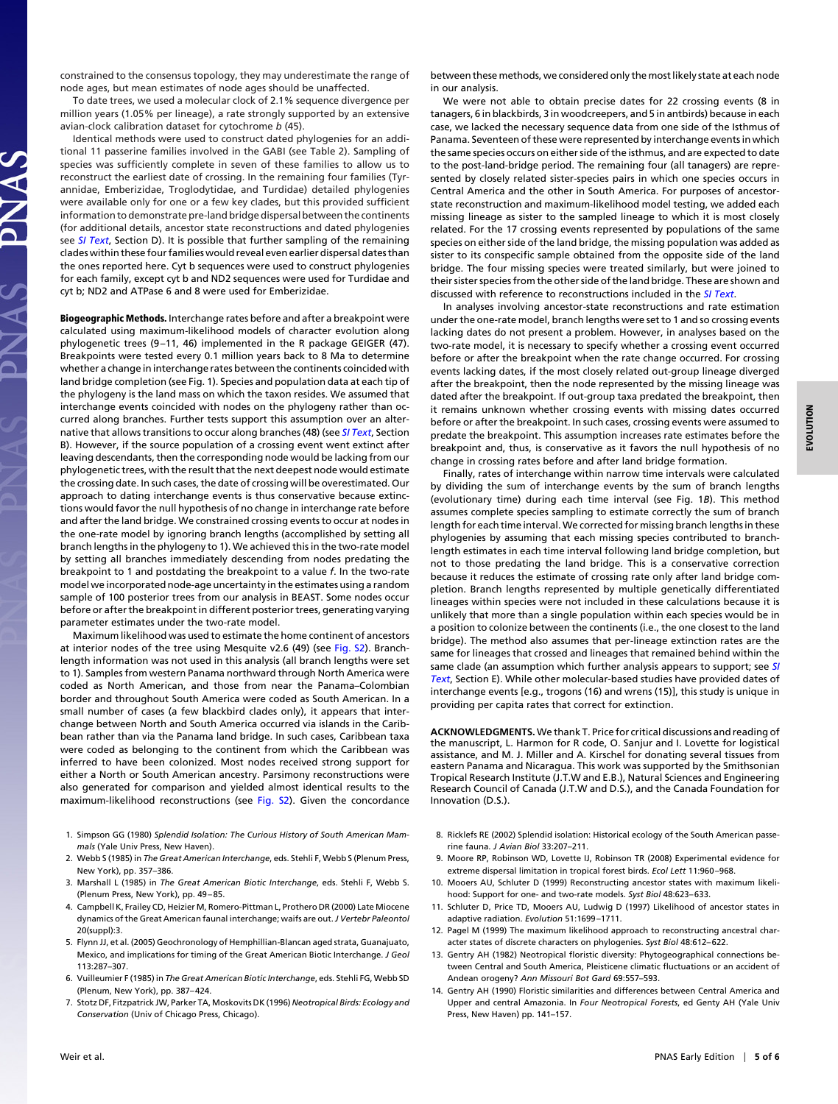constrained to the consensus topology, they may underestimate the range of node ages, but mean estimates of node ages should be unaffected.

To date trees, we used a molecular clock of 2.1% sequence divergence per million years (1.05% per lineage), a rate strongly supported by an extensive avian-clock calibration dataset for cytochrome *b* (45).

Identical methods were used to construct dated phylogenies for an additional 11 passerine families involved in the GABI (see Table 2). Sampling of species was sufficiently complete in seven of these families to allow us to reconstruct the earliest date of crossing. In the remaining four families (Tyrannidae, Emberizidae, Troglodytidae, and Turdidae) detailed phylogenies were available only for one or a few key clades, but this provided sufficient information to demonstrate pre-land bridge dispersal between the continents (for additional details, ancestor state reconstructions and dated phylogenies see *[SI Text](http://www.pnas.org/cgi/data/0903811106/DCSupplemental/Supplemental_PDF#nameddest=STXT)*, Section D). It is possible that further sampling of the remaining clades within these four families would reveal even earlier dispersal dates than the ones reported here. Cyt b sequences were used to construct phylogenies for each family, except cyt b and ND2 sequences were used for Turdidae and cyt b; ND2 and ATPase 6 and 8 were used for Emberizidae.

**Biogeographic Methods.** Interchange rates before and after a breakpoint were calculated using maximum-likelihood models of character evolution along phylogenetic trees (9–11, 46) implemented in the R package GEIGER (47). Breakpoints were tested every 0.1 million years back to 8 Ma to determine whether a change in interchange rates between the continents coincided with land bridge completion (see Fig. 1). Species and population data at each tip of the phylogeny is the land mass on which the taxon resides. We assumed that interchange events coincided with nodes on the phylogeny rather than occurred along branches. Further tests support this assumption over an alternative that allows transitions to occur along branches (48) (see *[SI Text](http://www.pnas.org/cgi/data/0903811106/DCSupplemental/Supplemental_PDF#nameddest=STXT)*, Section B). However, if the source population of a crossing event went extinct after leaving descendants, then the corresponding node would be lacking from our phylogenetic trees, with the result that the next deepest node would estimate the crossing date. In such cases, the date of crossing will be overestimated. Our approach to dating interchange events is thus conservative because extinctions would favor the null hypothesis of no change in interchange rate before and after the land bridge. We constrained crossing events to occur at nodes in the one-rate model by ignoring branch lengths (accomplished by setting all branch lengths in the phylogeny to 1). We achieved this in the two-rate model by setting all branches immediately descending from nodes predating the breakpoint to 1 and postdating the breakpoint to a value *f*. In the two-rate model we incorporated node-age uncertainty in the estimates using a random sample of 100 posterior trees from our analysis in BEAST. Some nodes occur before or after the breakpoint in different posterior trees, generating varying parameter estimates under the two-rate model.

Maximum likelihood was used to estimate the home continent of ancestors at interior nodes of the tree using Mesquite v2.6 (49) (see [Fig. S2\)](http://www.pnas.org/cgi/data/0903811106/DCSupplemental/Supplemental_PDF#nameddest=SF2). Branchlength information was not used in this analysis (all branch lengths were set to 1). Samples from western Panama northward through North America were coded as North American, and those from near the Panama–Colombian border and throughout South America were coded as South American. In a small number of cases (a few blackbird clades only), it appears that interchange between North and South America occurred via islands in the Caribbean rather than via the Panama land bridge. In such cases, Caribbean taxa were coded as belonging to the continent from which the Caribbean was inferred to have been colonized. Most nodes received strong support for either a North or South American ancestry. Parsimony reconstructions were also generated for comparison and yielded almost identical results to the maximum-likelihood reconstructions (see [Fig. S2\)](http://www.pnas.org/cgi/data/0903811106/DCSupplemental/Supplemental_PDF#nameddest=SF2). Given the concordance

- 1. Simpson GG (1980) *Splendid Isolation: The Curious History of South American Mammals* (Yale Univ Press, New Haven).
- 2. Webb S (1985) in *The Great American Interchange*, eds. Stehli F, Webb S (Plenum Press, New York), pp. 357–386.
- 3. Marshall L (1985) in *The Great American Biotic Interchange*, eds. Stehli F, Webb S. (Plenum Press, New York), pp. 49–85.
- 4. Campbell K, Frailey CD, Heizier M, Romero-Pittman L, Prothero DR (2000) Late Miocene dynamics of the Great American faunal interchange; waifs are out.*J Vertebr Paleontol* 20(suppl):3.
- 5. Flynn JJ, et al. (2005) Geochronology of Hemphillian-Blancan aged strata, Guanajuato, Mexico, and implications for timing of the Great American Biotic Interchange. *J Geol* 113:287–307.
- 6. Vuilleumier F (1985) in *The Great American Biotic Interchange*, eds. Stehli FG, Webb SD (Plenum, New York), pp. 387–424.
- 7. Stotz DF, Fitzpatrick JW, Parker TA, Moskovits DK (1996) *Neotropical Birds: Ecology and Conservation* (Univ of Chicago Press, Chicago).

between these methods, we considered only the most likely state at each node in our analysis.

We were not able to obtain precise dates for 22 crossing events (8 in tanagers, 6 in blackbirds, 3 in woodcreepers, and 5 in antbirds) because in each case, we lacked the necessary sequence data from one side of the Isthmus of Panama. Seventeen of these were represented by interchange events in which the same species occurs on either side of the isthmus, and are expected to date to the post-land-bridge period. The remaining four (all tanagers) are represented by closely related sister-species pairs in which one species occurs in Central America and the other in South America. For purposes of ancestorstate reconstruction and maximum-likelihood model testing, we added each missing lineage as sister to the sampled lineage to which it is most closely related. For the 17 crossing events represented by populations of the same species on either side of the land bridge, the missing population was added as sister to its conspecific sample obtained from the opposite side of the land bridge. The four missing species were treated similarly, but were joined to their sister species from the other side of the land bridge. These are shown and discussed with reference to reconstructions included in the *[SI Text](http://www.pnas.org/cgi/data/0903811106/DCSupplemental/Supplemental_PDF#nameddest=STXT)*.

In analyses involving ancestor-state reconstructions and rate estimation under the one-rate model, branch lengths were set to 1 and so crossing events lacking dates do not present a problem. However, in analyses based on the two-rate model, it is necessary to specify whether a crossing event occurred before or after the breakpoint when the rate change occurred. For crossing events lacking dates, if the most closely related out-group lineage diverged after the breakpoint, then the node represented by the missing lineage was dated after the breakpoint. If out-group taxa predated the breakpoint, then it remains unknown whether crossing events with missing dates occurred before or after the breakpoint. In such cases, crossing events were assumed to predate the breakpoint. This assumption increases rate estimates before the breakpoint and, thus, is conservative as it favors the null hypothesis of no change in crossing rates before and after land bridge formation.

Finally, rates of interchange within narrow time intervals were calculated by dividing the sum of interchange events by the sum of branch lengths (evolutionary time) during each time interval (see Fig. 1*B*). This method assumes complete species sampling to estimate correctly the sum of branch length for each time interval. We corrected for missing branch lengths in these phylogenies by assuming that each missing species contributed to branchlength estimates in each time interval following land bridge completion, but not to those predating the land bridge. This is a conservative correction because it reduces the estimate of crossing rate only after land bridge completion. Branch lengths represented by multiple genetically differentiated lineages within species were not included in these calculations because it is unlikely that more than a single population within each species would be in a position to colonize between the continents (i.e., the one closest to the land bridge). The method also assumes that per-lineage extinction rates are the same for lineages that crossed and lineages that remained behind within the same clade (an assumption which further analysis appears to support; see *[SI](http://www.pnas.org/cgi/data/0903811106/DCSupplemental/Supplemental_PDF#nameddest=STXT) [Text](http://www.pnas.org/cgi/data/0903811106/DCSupplemental/Supplemental_PDF#nameddest=STXT)*, Section E). While other molecular-based studies have provided dates of interchange events [e.g., trogons (16) and wrens (15)], this study is unique in providing per capita rates that correct for extinction.

**ACKNOWLEDGMENTS.**We thank T. Price for critical discussions and reading of the manuscript, L. Harmon for R code, O. Sanjur and I. Lovette for logistical assistance, and M. J. Miller and A. Kirschel for donating several tissues from eastern Panama and Nicaragua. This work was supported by the Smithsonian Tropical Research Institute (J.T.W and E.B.), Natural Sciences and Engineering Research Council of Canada (J.T.W and D.S.), and the Canada Foundation for Innovation (D.S.).

- 8. Ricklefs RE (2002) Splendid isolation: Historical ecology of the South American passerine fauna. *J Avian Biol* 33:207–211.
- 9. Moore RP, Robinson WD, Lovette IJ, Robinson TR (2008) Experimental evidence for extreme dispersal limitation in tropical forest birds. *Ecol Lett* 11:960–968.
- 10. Mooers AU, Schluter D (1999) Reconstructing ancestor states with maximum likelihood: Support for one- and two-rate models. *Syst Biol* 48:623–633.
- 11. Schluter D, Price TD, Mooers AU, Ludwig D (1997) Likelihood of ancestor states in adaptive radiation. *Evolution* 51:1699–1711.
- 12. Pagel M (1999) The maximum likelihood approach to reconstructing ancestral character states of discrete characters on phylogenies. *Syst Biol* 48:612–622.
- 13. Gentry AH (1982) Neotropical floristic diversity: Phytogeographical connections between Central and South America, Pleisticene climatic fluctuations or an accident of Andean orogeny? *Ann Missouri Bot Gard* 69:557–593.
- 14. Gentry AH (1990) Floristic similarities and differences between Central America and Upper and central Amazonia. In *Four Neotropical Forests*, ed Genty AH (Yale Univ Press, New Haven) pp. 141–157.